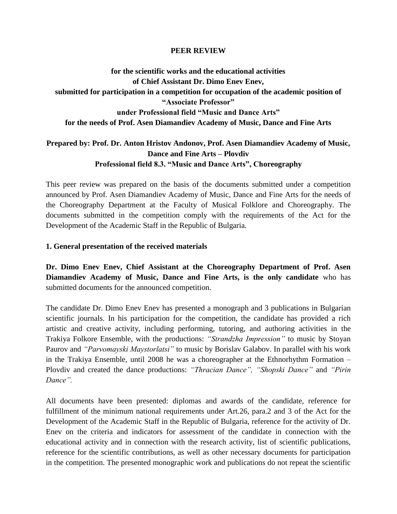### **PEER REVIEW**

**for the scientific works and the educational activities of Chief Assistant Dr. Dimo Enev Enev, submitted for participation in a competition for occupation of the academic position of "Associate Professor" under Professional field "Music and Dance Arts" for the needs of Prof. Asen Diamandiev Academy of Music, Dance and Fine Arts**

# **Prepared by: Prof. Dr. Anton Hristov Andonov, Prof. Asen Diamandiev Academy of Music, Dance and Fine Arts – Plovdiv Professional field 8.3. "Music and Dance Arts", Choreography**

This peer review was prepared on the basis of the documents submitted under a competition announced by Prof. Asen Diamandiev Academy of Music, Dance and Fine Arts for the needs of the Choreography Department at the Faculty of Musical Folklore and Choreography. The documents submitted in the competition comply with the requirements of the Act for the Development of the Academic Staff in the Republic of Bulgaria.

### **1. General presentation of the received materials**

**Dr. Dimo Enev Enev, Chief Assistant at the Choreography Department of Prof. Asen Diamandiev Academy of Music, Dance and Fine Arts, is the only candidate** who has submitted documents for the announced competition.

The candidate Dr. Dimo Enev Enev has presented a monograph and 3 publications in Bulgarian scientific journals. In his participation for the competition, the candidate has provided a rich artistic and creative activity, including performing, tutoring, and authoring activities in the Trakiya Folkore Ensemble, with the productions: *"Strandzha Impression"* to music by Stoyan Paurov and *"Parvomayski Maystorlatsi"* to music by Borislav Galabov. In parallel with his work in the Trakiya Ensemble, until 2008 he was a choreographer at the Ethnorhythm Formation – Plovdiv and created the dance productions: *"Thracian Dance", "Shopski Dance"* and *"Pirin Dance".*

All documents have been presented: diplomas and awards of the candidate, reference for fulfillment of the minimum national requirements under Art.26, para.2 and 3 of the Act for the Development of the Academic Staff in the Republic of Bulgaria, reference for the activity of Dr. Enev on the criteria and indicators for assessment of the candidate in connection with the educational activity and in connection with the research activity, list of scientific publications, reference for the scientific contributions, as well as other necessary documents for participation in the competition. The presented monographic work and publications do not repeat the scientific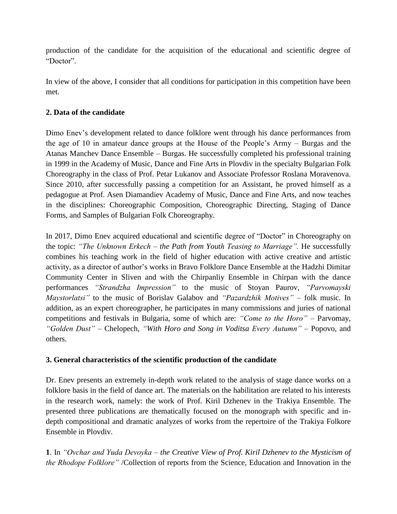production of the candidate for the acquisition of the educational and scientific degree of "Doctor".

In view of the above, I consider that all conditions for participation in this competition have been met.

## **2. Data of the candidate**

Dimo Enev's development related to dance folklore went through his dance performances from the age of 10 in amateur dance groups at the House of the People's Army – Burgas and the Atanas Manchev Dance Ensemble – Burgas. He successfully completed his professional training in 1999 in the Academy of Music, Dance and Fine Arts in Plovdiv in the specialty Bulgarian Folk Choreography in the class of Prof. Petar Lukanov and Associate Professor Roslana Moravenova. Since 2010, after successfully passing a competition for an Assistant, he proved himself as a pedagogue at Prof. Asen Diamandiev Academy of Music, Dance and Fine Arts, and now teaches in the disciplines: Choreographic Composition, Choreographic Directing, Staging of Dance Forms, and Samples of Bulgarian Folk Choreography.

In 2017, Dimo Enev acquired educational and scientific degree of "Doctor" in Choreography on the topic: *"The Unknown Erkech – the Path from Youth Teasing to Marriage".* He successfully combines his teaching work in the field of higher education with active creative and artistic activity, as a director of author's works in Bravo Folklore Dance Ensemble at the Hadzhi Dimitar Community Center in Sliven and with the Chirpanliy Ensemble in Chirpan with the dance performances *"Strandzha Impression"* to the music of Stoyan Paurov, *"Parvomayski Maystorlatsi"* to the music of Borislav Galabov and *"Pazardzhik Motives"* – folk music. In addition, as an expert choreographer, he participates in many commissions and juries of national competitions and festivals in Bulgaria, some of which are: *"Come to the Horo"* – Parvomay, *"Golden Dust"* – Chelopech, *"With Horo and Song in Voditsa Every Autumn"* – Popovo, and others.

## **3. General characteristics of the scientific production of the candidate**

Dr. Enev presents an extremely in-depth work related to the analysis of stage dance works on a folklore basis in the field of dance art. The materials on the habilitation are related to his interests in the research work, namely: the work of Prof. Kiril Dzhenev in the Trakiya Ensemble. The presented three publications are thematically focused on the monograph with specific and indepth compositional and dramatic analyzes of works from the repertoire of the Trakiya Folkore Ensemble in Plovdiv.

**1**. In *"Ovchar and Yuda Devoyka – the Creative View of Prof. Kiril Dzhenev to the Mysticism of the Rhodope Folklore"* /Collection of reports from the Science, Education and Innovation in the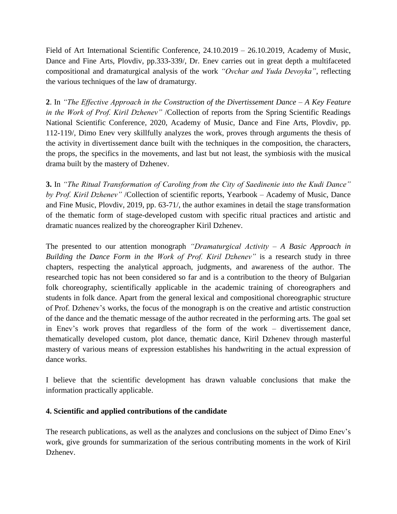Field of Art International Scientific Conference, 24.10.2019 – 26.10.2019, Academy of Music, Dance and Fine Arts, Plovdiv, pp.333-339/, Dr. Enev carries out in great depth a multifaceted compositional and dramaturgical analysis of the work *"Ovchar and Yuda Devoyka"*, reflecting the various techniques of the law of dramaturgy.

**2**. In *"The Effective Approach in the Construction of the Divertissement Dance – A Key Feature in the Work of Prof. Kiril Dzhenev"* /Collection of reports from the Spring Scientific Readings National Scientific Conference, 2020, Academy of Music, Dance and Fine Arts, Plovdiv, pp. 112-119/, Dimo Enev very skillfully analyzes the work, proves through arguments the thesis of the activity in divertissement dance built with the techniques in the composition, the characters, the props, the specifics in the movements, and last but not least, the symbiosis with the musical drama built by the mastery of Dzhenev.

**3.** In *"The Ritual Transformation of Caroling from the City of Saedinenie into the Kudi Dance" by Prof. Kiril Dzhenev"* /Collection of scientific reports, Yearbook – Academy of Music, Dance and Fine Music, Plovdiv, 2019, pp. 63-71/, the author examines in detail the stage transformation of the thematic form of stage-developed custom with specific ritual practices and artistic and dramatic nuances realized by the choreographer Kiril Dzhenev.

The presented to our attention monograph *"Dramaturgical Activity – A Basic Approach in Building the Dance Form in the Work of Prof. Kiril Dzhenev"* is a research study in three chapters, respecting the analytical approach, judgments, and awareness of the author. The researched topic has not been considered so far and is a contribution to the theory of Bulgarian folk choreography, scientifically applicable in the academic training of choreographers and students in folk dance. Apart from the general lexical and compositional choreographic structure of Prof. Dzhenev's works, the focus of the monograph is on the creative and artistic construction of the dance and the thematic message of the author recreated in the performing arts. The goal set in Enev's work proves that regardless of the form of the work – divertissement dance, thematically developed custom, plot dance, thematic dance, Kiril Dzhenev through masterful mastery of various means of expression establishes his handwriting in the actual expression of dance works.

I believe that the scientific development has drawn valuable conclusions that make the information practically applicable.

## **4. Scientific and applied contributions of the candidate**

The research publications, as well as the analyzes and conclusions on the subject of Dimo Enev's work, give grounds for summarization of the serious contributing moments in the work of Kiril Dzhenev.